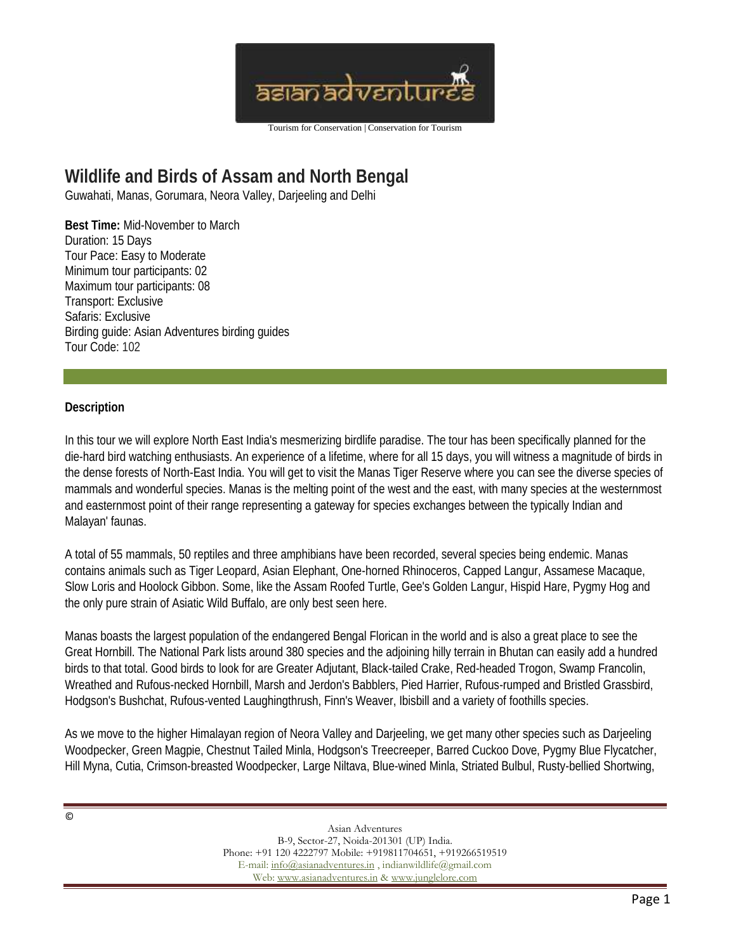

## **Wildlife and Birds of Assam and North Bengal**

Guwahati, Manas, Gorumara, Neora Valley, Darjeeling and Delhi

**Best Time:** Mid-November to March Duration: 15 Days Tour Pace: Easy to Moderate Minimum tour participants: 02 Maximum tour participants: 08 Transport: Exclusive Safaris: Exclusive Birding guide: Asian Adventures birding guides Tour Code: 102

## **Description**

In this tour we will explore North East India's mesmerizing birdlife paradise. The tour has been specifically planned for the die-hard bird watching enthusiasts. An experience of a lifetime, where for all 15 days, you will witness a magnitude of birds in the dense forests of North-East India. You will get to visit the Manas Tiger Reserve where you can see the diverse species of mammals and wonderful species. Manas is the melting point of the west and the east, with many species at the westernmost and easternmost point of their range representing a gateway for species exchanges between the typically Indian and Malayan' faunas.

A total of 55 mammals, 50 reptiles and three amphibians have been recorded, several species being endemic. Manas contains animals such as Tiger Leopard, Asian Elephant, One-horned Rhinoceros, Capped Langur, Assamese Macaque, Slow Loris and Hoolock Gibbon. Some, like the Assam Roofed Turtle, Gee's Golden Langur, Hispid Hare, Pygmy Hog and the only pure strain of Asiatic Wild Buffalo, are only best seen here.

Manas boasts the largest population of the endangered Bengal Florican in the world and is also a great place to see the Great Hornbill. The National Park lists around 380 species and the adjoining hilly terrain in Bhutan can easily add a hundred birds to that total. Good birds to look for are Greater Adjutant, Black-tailed Crake, Red-headed Trogon, Swamp Francolin, Wreathed and Rufous-necked Hornbill, Marsh and Jerdon's Babblers, Pied Harrier, Rufous-rumped and Bristled Grassbird, Hodgson's Bushchat, Rufous-vented Laughingthrush, Finn's Weaver, Ibisbill and a variety of foothills species.

As we move to the higher Himalayan region of Neora Valley and Darjeeling, we get many other species such as Darjeeling Woodpecker, Green Magpie, Chestnut Tailed Minla, Hodgson's Treecreeper, Barred Cuckoo Dove, Pygmy Blue Flycatcher, Hill Myna, Cutia, Crimson-breasted Woodpecker, Large Niltava, Blue-wined Minla, Striated Bulbul, Rusty-bellied Shortwing,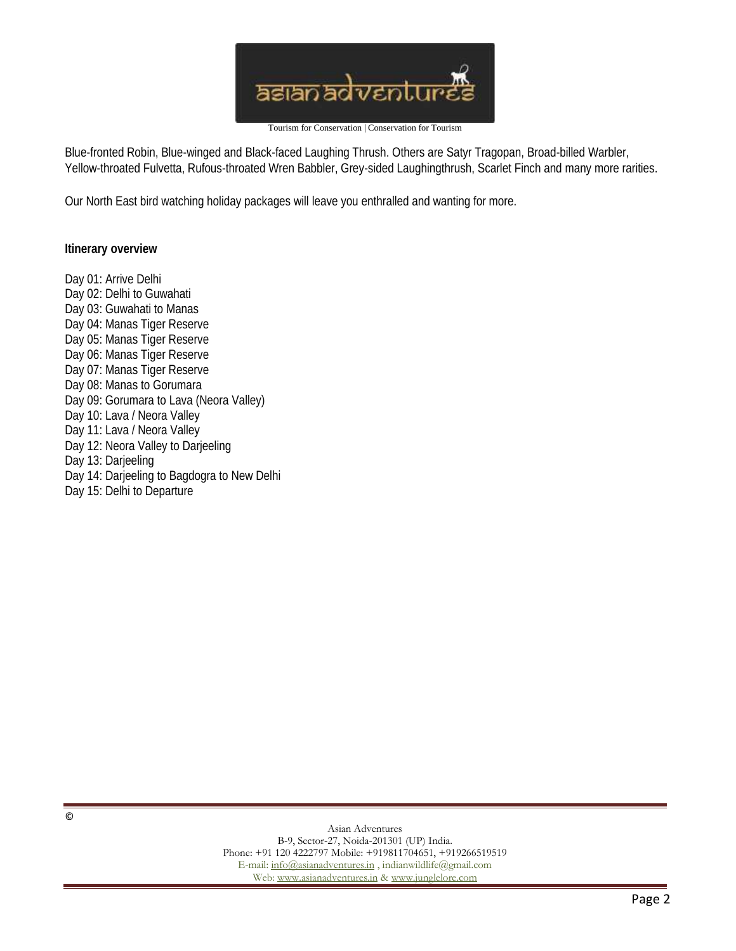

Blue-fronted Robin, Blue-winged and Black-faced Laughing Thrush. Others are Satyr Tragopan, Broad-billed Warbler, Yellow-throated Fulvetta, Rufous-throated Wren Babbler, Grey-sided Laughingthrush, Scarlet Finch and many more rarities.

Our North East bird watching holiday packages will leave you enthralled and wanting for more.

**Itinerary overview**

Day 01: Arrive Delhi Day 02: Delhi to Guwahati Day 03: Guwahati to Manas Day 04: Manas Tiger Reserve Day 05: Manas Tiger Reserve Day 06: Manas Tiger Reserve Day 07: Manas Tiger Reserve Day 08: Manas to Gorumara Day 09: Gorumara to Lava (Neora Valley) Day 10: Lava / Neora Valley Day 11: Lava / Neora Valley Day 12: Neora Valley to Darjeeling Day 13: Darjeeling Day 14: Darjeeling to Bagdogra to New Delhi Day 15: Delhi to Departure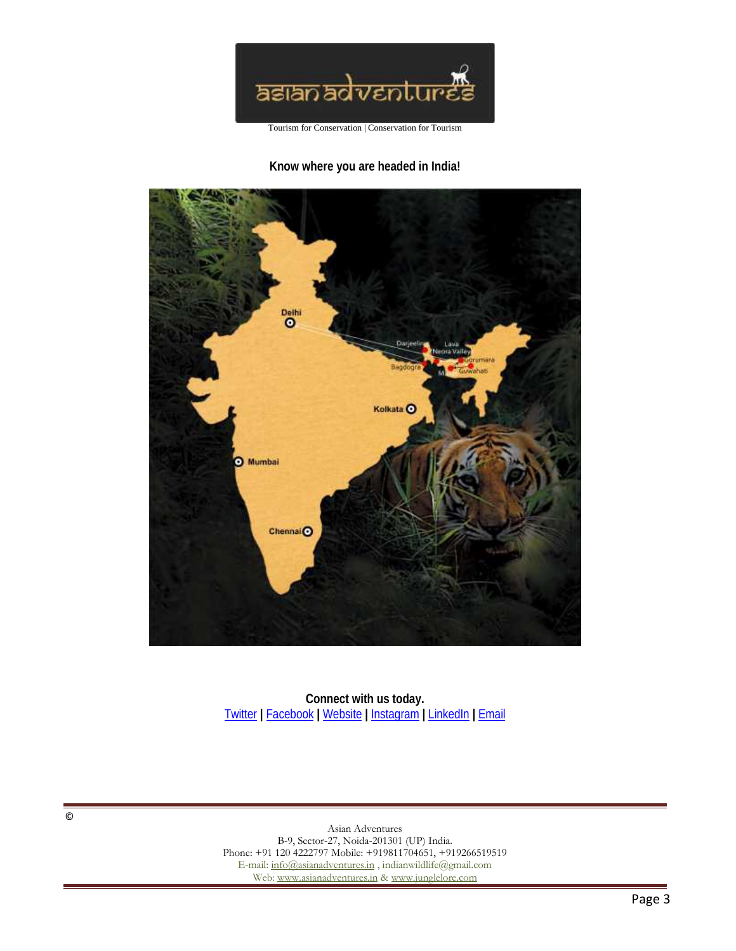

**Know where you are headed in India!**



**Connect with us today.** Twitter **|** Facebook **|** Website **|** Instagram **|** LinkedIn **|** Email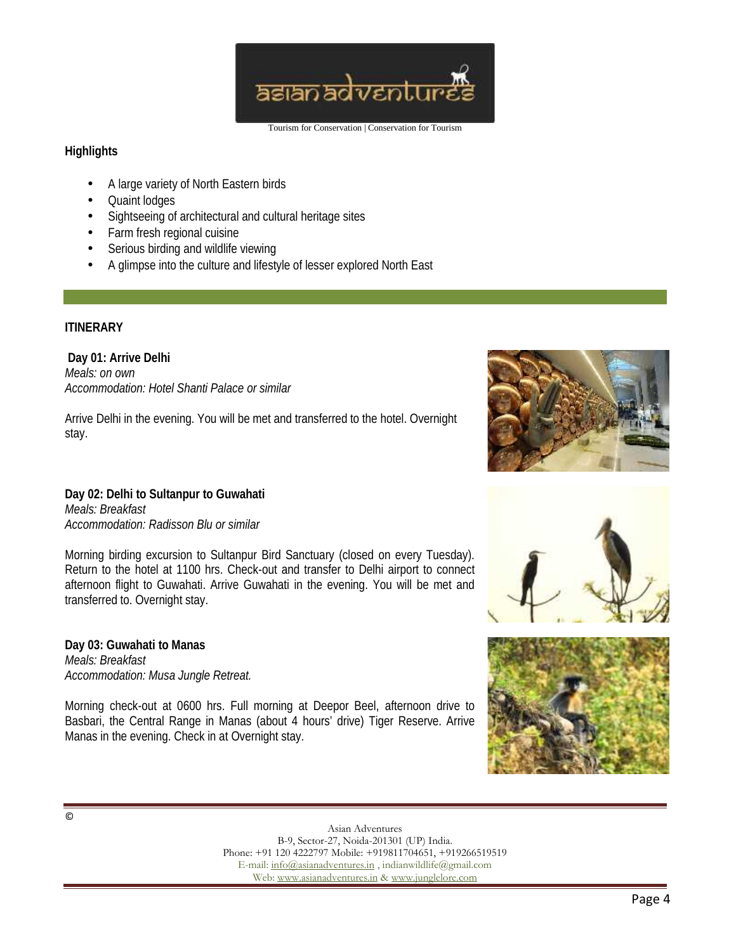

## **Highlights**

- A large variety of North Eastern birds
- Quaint lodges
- Sightseeing of architectural and cultural heritage sites
- Farm fresh regional cuisine
- Serious birding and wildlife viewing
- A glimpse into the culture and lifestyle of lesser explored North East

## **ITINERARY**

**Day 01: Arrive Delhi** *Meals: on own Accommodation: Hotel Shanti Palace or similar*

Arrive Delhi in the evening. You will be met and transferred to the hotel. Overnight stay.



**Day 02: Delhi to Sultanpur to Guwahati** *Meals: Breakfast Accommodation: Radisson Blu or similar*

Morning birding excursion to Sultanpur Bird Sanctuary (closed on every Tuesday). Return to the hotel at 1100 hrs. Check-out and transfer to Delhi airport to connect afternoon flight to Guwahati. Arrive Guwahati in the evening. You will be met and transferred to. Overnight stay.

**Day 03: Guwahati to Manas** *Meals: Breakfast Accommodation: Musa Jungle Retreat.*

Morning check-out at 0600 hrs. Full morning at Deepor Beel, afternoon drive to Basbari, the Central Range in Manas (about 4 hours' drive) Tiger Reserve. Arrive Manas in the evening. Check in at Overnight stay.



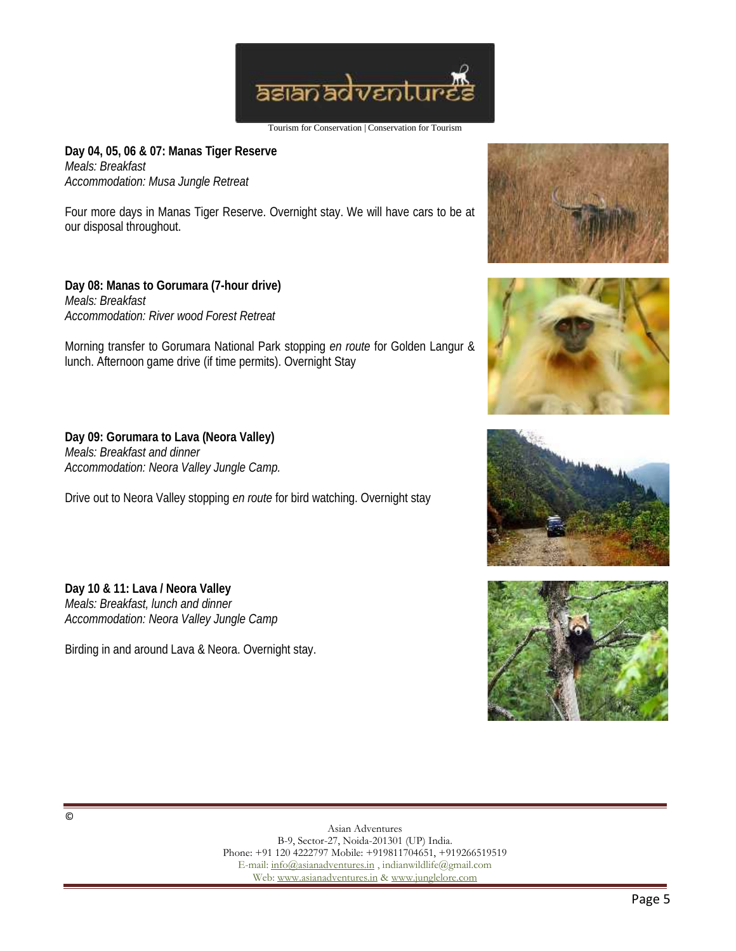

**Day 04, 05, 06 & 07: Manas Tiger Reserve** *Meals: Breakfast Accommodation: Musa Jungle Retreat*

Four more days in Manas Tiger Reserve. Overnight stay. We will have cars to be at our disposal throughout.

**Day 08: Manas to Gorumara (7-hour drive)** *Meals: Breakfast Accommodation: River wood Forest Retreat*

Morning transfer to Gorumara National Park stopping *en route* for Golden Langur & lunch. Afternoon game drive (if time permits). Overnight Stay

**Day 09: Gorumara to Lava (Neora Valley)** *Meals: Breakfast and dinner Accommodation: Neora Valley Jungle Camp.*

Drive out to Neora Valley stopping *en route* for bird watching. Overnight stay

**Day 10 & 11: Lava / Neora Valley** *Meals: Breakfast, lunch and dinner Accommodation: Neora Valley Jungle Camp*

Birding in and around Lava & Neora. Overnight stay.







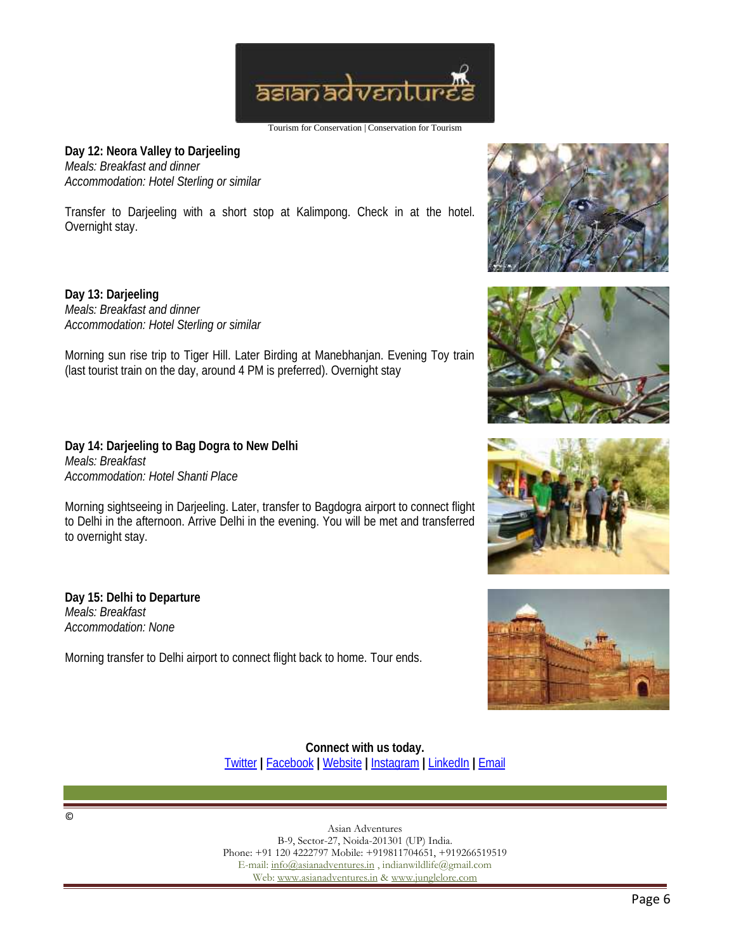

**Day 12: Neora Valley to Darjeeling** *Meals: Breakfast and dinner Accommodation: Hotel Sterling or similar*

Transfer to Darjeeling with a short stop at Kalimpong. Check in at the hotel. Overnight stay.

**Day 13: Darjeeling** *Meals: Breakfast and dinner Accommodation: Hotel Sterling or similar*

Morning sun rise trip to Tiger Hill. Later Birding at Manebhanjan. Evening Toy train (last tourist train on the day, around 4 PM is preferred). Overnight stay

**Day 14: Darjeeling to Bag Dogra to New Delhi** *Meals: Breakfast Accommodation: Hotel Shanti Place*

Morning sightseeing in Darjeeling. Later, transfer to Bagdogra airport to connect flight to Delhi in the afternoon. Arrive Delhi in the evening. You will be met and transferred to overnight stay.

**Day 15: Delhi to Departure** *Meals: Breakfast Accommodation: None*

Morning transfer to Delhi airport to connect flight back to home. Tour ends.









**Connect with us today.** Twitter **|** Facebook **|** Website **|** Instagram **|** LinkedIn **|** Email

©